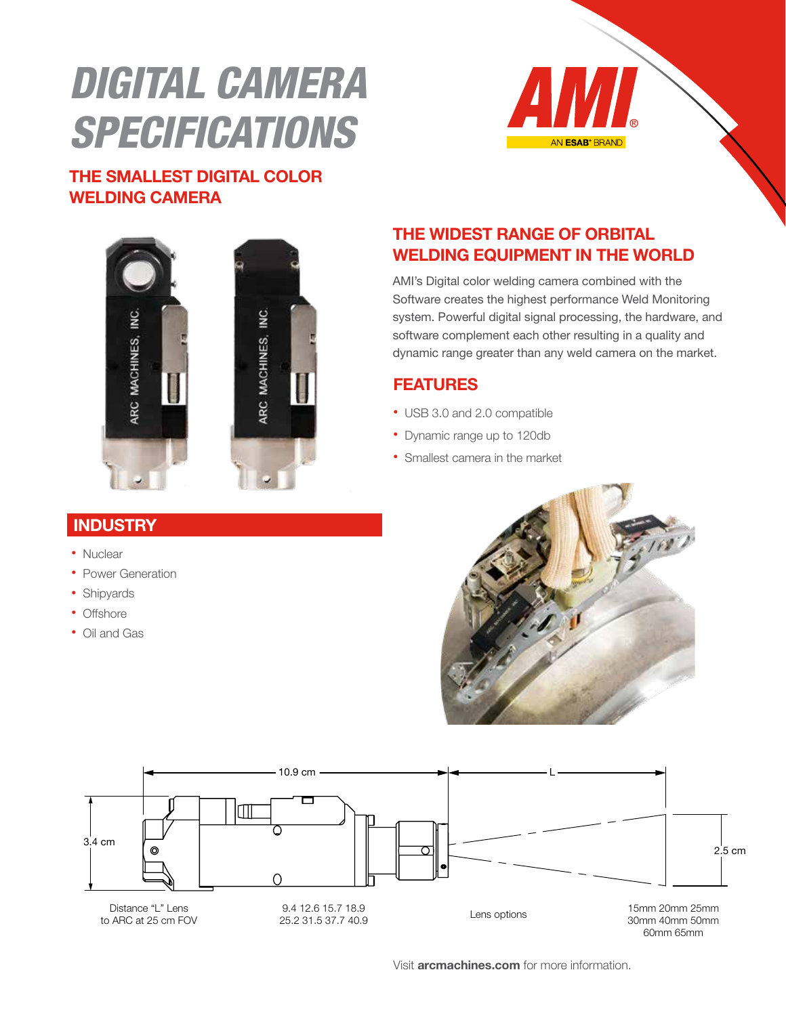# DIGITAL CAMERA **SPECIFICATIONS**



#### THE SMALLEST DIGITAL COLOR WELDING CAMERA



## **INDUSTRY**

- Nuclear
- Power Generation
- Shipyards
- Offshore
- Oil and Gas

#### THE WIDEST RANGE OF ORBITAL WELDING EQUIPMENT IN THE WORLD

AMI's Digital color welding camera combined with the Software creates the highest performance Weld Monitoring system. Powerful digital signal processing, the hardware, and software complement each other resulting in a quality and dynamic range greater than any weld camera on the market.

## FEATURES

- USB 3.0 and 2.0 compatible
- Dynamic range up to 120db
- Smallest camera in the market





Visit **arcmachines.com** for more information.